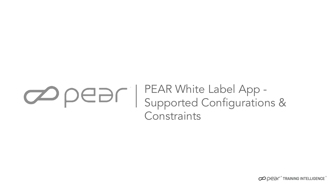# PEAR White Label App - Supported Configurations & **Constraints**

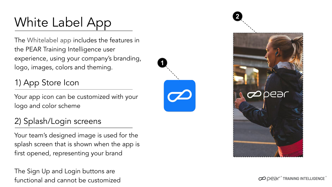# White Label App

The Whitelabel app includes the features in the PEAR Training Intelligence user experience, using your company's branding, logo, images, colors and theming.

1) App Store Icon

Your app icon can be customized with your logo and color scheme

### 2) Splash/Login screens

Your team's designed image is used for the splash screen that is shown when the app is first opened, representing your brand

The Sign Up and Login buttons are functional and cannot be customized





CO DE DE TRAINING INTELLIGENCE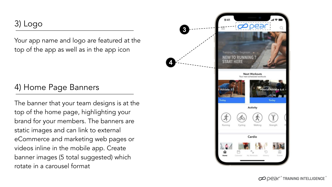3) Logo

Your app name and logo are featured at the top of the app as well as in the app icon

#### 4) Home Page Banners

The banner that your team designs is at the top of the home page, highlighting your brand for your members. The banners are static images and can link to external eCommerce and marketing web pages or videos inline in the mobile app. Create banner images (5 total suggested) which rotate in a carousel format



**4**

OO DED F TRAINING INTELLIGENCE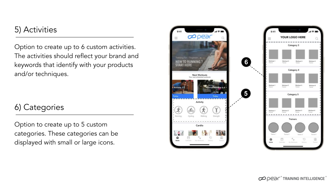#### 5) Activities

Option to create up to 6 custom activities. The activities should reflect your brand and keywords that identify with your products and/or techniques.

#### 6) Categories

Option to create up to 5 custom categories. These categories can be displayed with small or large icons.

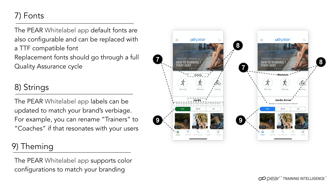# 7) Fonts

The PEAR Whitelabel app default fonts are also configurable and can be replaced with a TTF compatible font Replacement fonts should go through a full Quality Assurance cycle

#### 8) Strings

The PEAR Whitelabel app labels can be updated to match your brand's verbiage. For example, you can rename "Trainers" to "Coaches" if that resonates with your users

#### 9) Theming

The PEAR Whitelabel app supports color configurations to match your branding

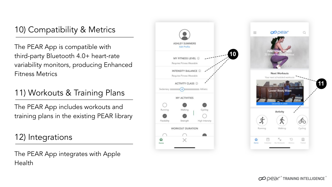### 10) Compatibility & Metrics

The PEAR App is compatible with third-party Bluetooth 4.0+ heart-rate variability monitors, producing Enhanced Fitness Metrics

# 11) Workouts & Training Plans

The PEAR App includes workouts and training plans in the existing PEAR library

### 12) Integrations

The PEAR App integrates with Apple Health



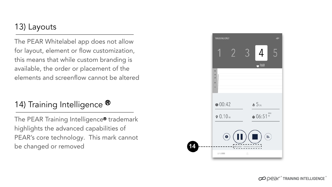#### 13) Layouts

The PEAR Whitelabel app does not allow for layout, element or flow customization, this means that while custom branding is available, the order or placement of the elements and screenflow cannot be altered

# 14) Training Intelligence  $\mathbf{\Phi}$

The PEAR Training Intelligence® trademark highlights the advanced capabilities of PEAR's core technology. This mark cannot be changed or removed



OPER<sup>+</sup>TRAINING INTELLIGENCE